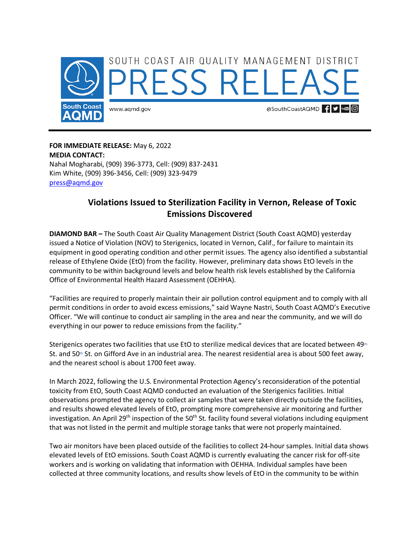

**FOR IMMEDIATE RELEASE:** May 6, 2022 **MEDIA CONTACT:**  Nahal Mogharabi, (909) 396-3773, Cell: (909) 837-2431 Kim White, (909) 396-3456, Cell: (909) 323-9479 [press@aqmd.gov](mailto:press@aqmd.gov)

## **Violations Issued to Sterilization Facility in Vernon, Release of Toxic Emissions Discovered**

**DIAMOND BAR –** The South Coast Air Quality Management District (South Coast AQMD) yesterday issued a Notice of Violation (NOV) to Sterigenics, located in Vernon, Calif., for failure to maintain its equipment in good operating condition and other permit issues. The agency also identified a substantial release of Ethylene Oxide (EtO) from the facility. However, preliminary data shows EtO levels in the community to be within background levels and below health risk levels established by the California Office of Environmental Health Hazard Assessment (OEHHA).

"Facilities are required to properly maintain their air pollution control equipment and to comply with all permit conditions in order to avoid excess emissions," said Wayne Nastri, South Coast AQMD's Executive Officer. "We will continue to conduct air sampling in the area and near the community, and we will do everything in our power to reduce emissions from the facility."

Sterigenics operates two facilities that use EtO to sterilize medical devices that are located between 49th St. and 50<sup>th</sup> St. on Gifford Ave in an industrial area. The nearest residential area is about 500 feet away, and the nearest school is about 1700 feet away.

In March 2022, following the U.S. Environmental Protection Agency's reconsideration of the potential toxicity from EtO, South Coast AQMD conducted an evaluation of the Sterigenics facilities. Initial observations prompted the agency to collect air samples that were taken directly outside the facilities, and results showed elevated levels of EtO, prompting more comprehensive air monitoring and further investigation. An April 29<sup>th</sup> inspection of the 50<sup>th</sup> St. facility found several violations including equipment that was not listed in the permit and multiple storage tanks that were not properly maintained.

Two air monitors have been placed outside of the facilities to collect 24-hour samples. Initial data shows elevated levels of EtO emissions. South Coast AQMD is currently evaluating the cancer risk for off-site workers and is working on validating that information with OEHHA. Individual samples have been collected at three community locations, and results show levels of EtO in the community to be within